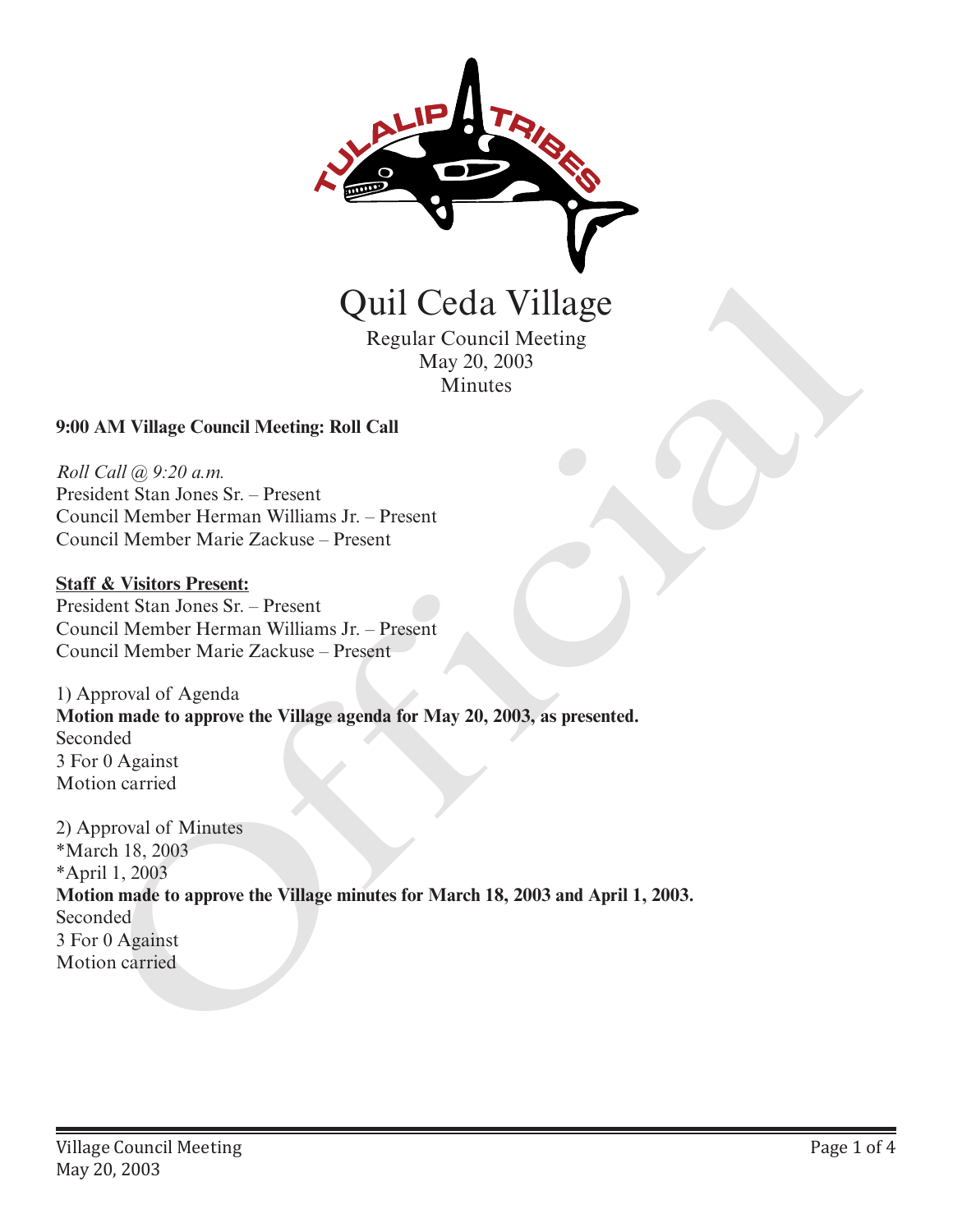

Regular Council Meeting May 20, 2003 Minutes

## **9:00 AM Village Council Meeting: Roll Call**

*Roll Call @ 9:20 a.m.* President Stan Jones Sr. – Present Council Member Herman Williams Jr. – Present Council Member Marie Zackuse – Present

## **Staff & Visitors Present:**

President Stan Jones Sr. – Present Council Member Herman Williams Jr. – Present Council Member Marie Zackuse – Present

1) Approval of Agenda **Motion made to approve the Village agenda for May 20, 2003, as presented.** Seconded 3 For 0 Against Motion carried

2) Approval of Minutes \*March 18, 2003 \*April 1, 2003 **Motion made to approve the Village minutes for March 18, 2003 and April 1, 2003.** Seconded 3 For 0 Against Quill Cecla Village<br>
Regular Council Meeting<br>
May 20, 2003<br>
Minutes<br>
May 20, 2003<br>
Minutes<br>
President Stan Jones Sr. – Present<br>
President Stan Jones Sr. – Present<br>
Council Member Marie Zackuse – Present<br>
Council Member Mar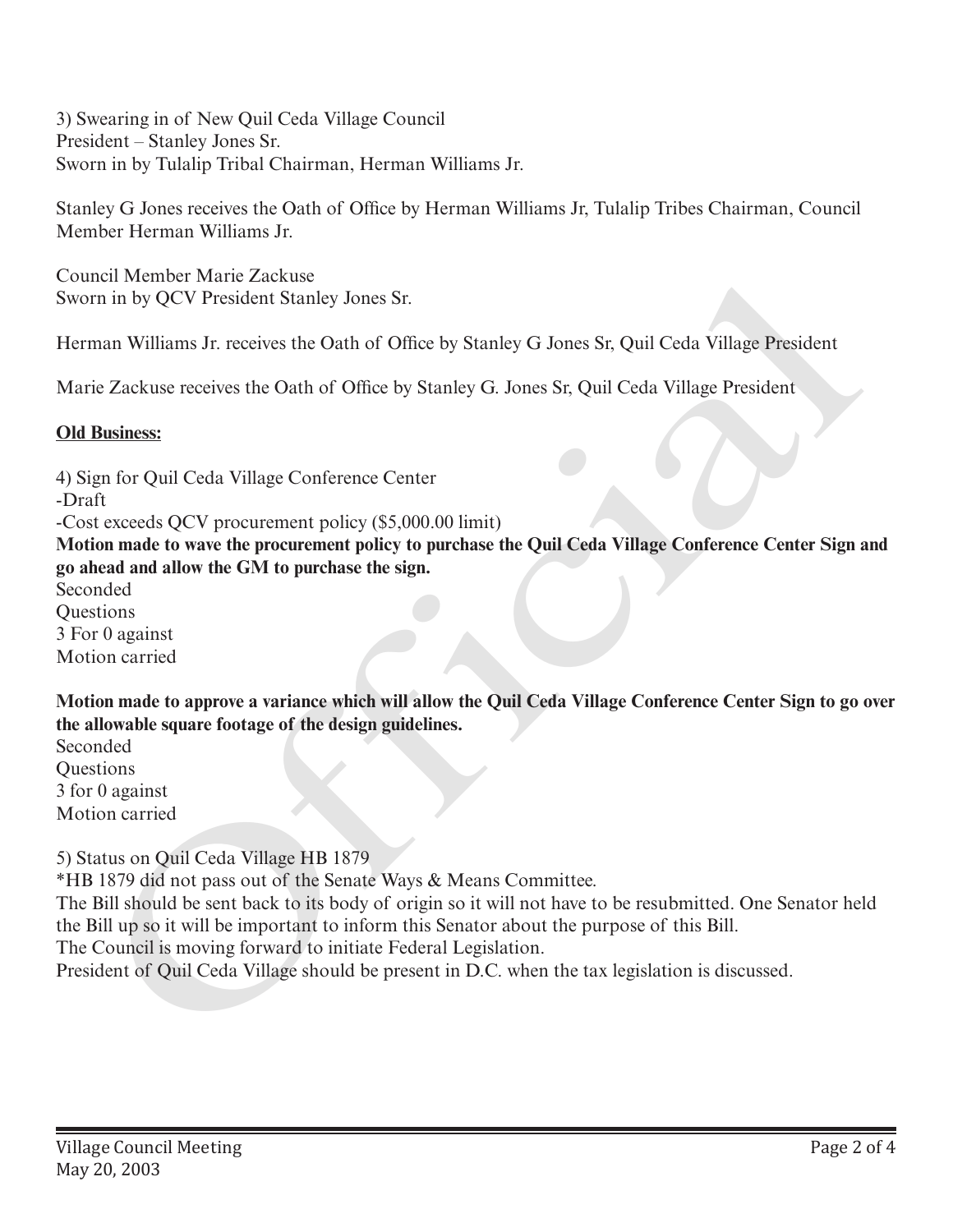3) Swearing in of New Quil Ceda Village Council President – Stanley Jones Sr. Sworn in by Tulalip Tribal Chairman, Herman Williams Jr.

Stanley G Jones receives the Oath of Office by Herman Williams Jr, Tulalip Tribes Chairman, Council Member Herman Williams Jr.

Council Member Marie Zackuse Sworn in by QCV President Stanley Jones Sr.

Herman Williams Jr. receives the Oath of Office by Stanley G Jones Sr, Quil Ceda Village President

Marie Zackuse receives the Oath of Office by Stanley G. Jones Sr, Quil Ceda Village President

## **Old Business:**

4) Sign for Quil Ceda Village Conference Center -Draft -Cost exceeds QCV procurement policy (\$5,000.00 limit) **Motion made to wave the procurement policy to purchase the Quil Ceda Village Conference Center Sign and go ahead and allow the GM to purchase the sign.** Seconded **Ouestions** 3 For 0 against Motion carried Content World President States<br>
Content Member Marie Zackuse<br>
Sworn in by QCV President Stamley Jones Sr.<br>
Herman Williams Jr. receives the Oath of Office by Stanley G. Jones Sr, Quil Ceda Village President<br>
Marie Zackuse

**Motion made to approve a variance which will allow the Quil Ceda Village Conference Center Sign to go over the allowable square footage of the design guidelines.**

Seconded **Ouestions** 3 for 0 against Motion carried

5) Status on Quil Ceda Village HB 1879

\*HB 1879 did not pass out of the Senate Ways & Means Committee.

The Bill should be sent back to its body of origin so it will not have to be resubmitted. One Senator held the Bill up so it will be important to inform this Senator about the purpose of this Bill.

The Council is moving forward to initiate Federal Legislation.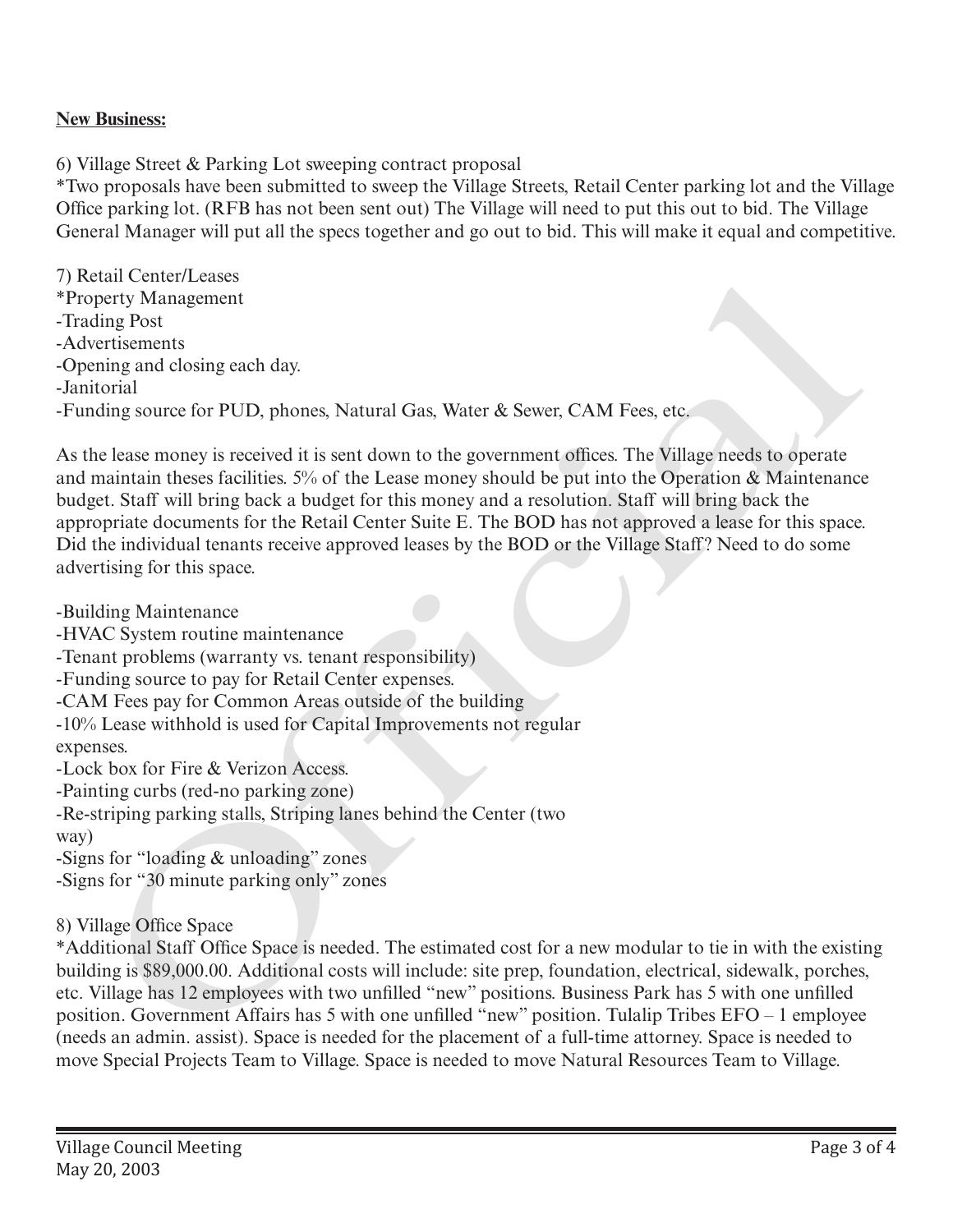## **New Business:**

6) Village Street & Parking Lot sweeping contract proposal

\*Two proposals have been submitted to sweep the Village Streets, Retail Center parking lot and the Village Office parking lot. (RFB has not been sent out) The Village will need to put this out to bid. The Village General Manager will put all the specs together and go out to bid. This will make it equal and competitive.

7) Retail Center/Leases \*Property Management -Trading Post -Advertisements -Opening and closing each day. -Janitorial -Funding source for PUD, phones, Natural Gas, Water & Sewer, CAM Fees, etc.

As the lease money is received it is sent down to the government offices. The Village needs to operate and maintain theses facilities. 5% of the Lease money should be put into the Operation & Maintenance budget. Staff will bring back a budget for this money and a resolution. Staff will bring back the appropriate documents for the Retail Center Suite E. The BOD has not approved a lease for this space. Did the individual tenants receive approved leases by the BOD or the Village Staff? Need to do some advertising for this space.

-Building Maintenance -HVAC System routine maintenance -Tenant problems (warranty vs. tenant responsibility) -Funding source to pay for Retail Center expenses. -CAM Fees pay for Common Areas outside of the building -10% Lease withhold is used for Capital Improvements not regular expenses. -Lock box for Fire & Verizon Access. -Painting curbs (red-no parking zone) -Re-striping parking stalls, Striping lanes behind the Center (two way) -Signs for "loading & unloading" zones -Signs for "30 minute parking only" zones stat Center/Leases<br>tant Center-Leases<br>partly Management<br>tritisments<br>integrand transformation<br>are restincently and closing each day.<br>The restinct these facilities  $\mathcal{Y}_0$  of the Lease monory should be put invisible for th

8) Village Office Space

\*Additional Staff Office Space is needed. The estimated cost for a new modular to tie in with the existing building is \$89,000.00. Additional costs will include: site prep, foundation, electrical, sidewalk, porches, etc. Village has 12 employees with two unfilled "new" positions. Business Park has 5 with one unfilled position. Government Affairs has 5 with one unfilled "new" position. Tulalip Tribes EFO – 1 employee (needs an admin. assist). Space is needed for the placement of a full-time attorney. Space is needed to move Special Projects Team to Village. Space is needed to move Natural Resources Team to Village.